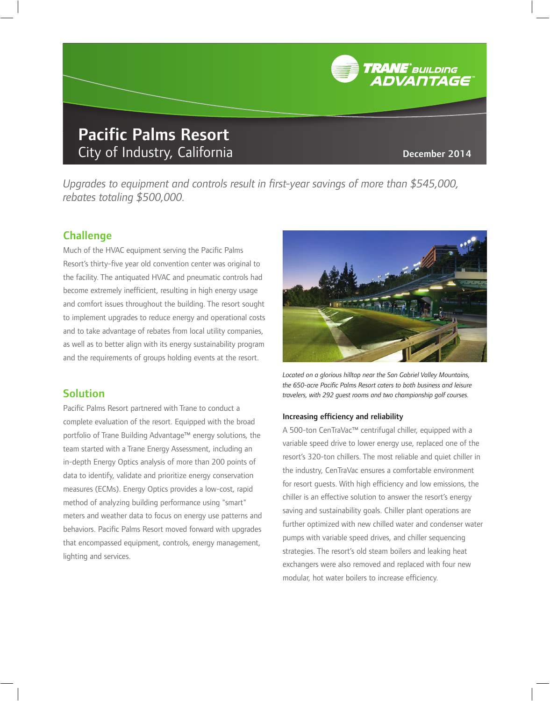# Pacific Palms Resort City of Industry, California **December 2014**

**TRANE**<sup>\*</sup> BUILDING<br>ADVANTAGE

*Upgrades to equipment and controls result in first-year savings of more than \$545,000, rebates totaling \$500,000.* 

## Challenge

Much of the HVAC equipment serving the Pacific Palms Resort's thirty-five year old convention center was original to the facility. The antiquated HVAC and pneumatic controls had become extremely inefficient, resulting in high energy usage and comfort issues throughout the building. The resort sought to implement upgrades to reduce energy and operational costs and to take advantage of rebates from local utility companies, as well as to better align with its energy sustainability program and the requirements of groups holding events at the resort.

### Solution

Pacific Palms Resort partnered with Trane to conduct a complete evaluation of the resort. Equipped with the broad portfolio of Trane Building Advantage™ energy solutions, the team started with a Trane Energy Assessment, including an in-depth Energy Optics analysis of more than 200 points of data to identify, validate and prioritize energy conservation measures (ECMs). Energy Optics provides a low-cost, rapid method of analyzing building performance using "smart" meters and weather data to focus on energy use patterns and behaviors. Pacific Palms Resort moved forward with upgrades that encompassed equipment, controls, energy management, lighting and services.



 *Located on a glorious hilltop near the San Gabriel Valley Mountains,*  the 650-acre Pacific Palms Resort caters to both business and leisure *travelers, with 292 guest rooms and two championship golf courses.* 

#### Increasing efficiency and reliability

 A 500-ton CenTraVac™ centrifugal chiller, equipped with a variable speed drive to lower energy use, replaced one of the resort's 320-ton chillers. The most reliable and quiet chiller in the industry, CenTraVac ensures a comfortable environment for resort guests. With high efficiency and low emissions, the chiller is an effective solution to answer the resort's energy saving and sustainability goals. Chiller plant operations are further optimized with new chilled water and condenser water pumps with variable speed drives, and chiller sequencing strategies. The resort's old steam boilers and leaking heat exchangers were also removed and replaced with four new modular, hot water boilers to increase efficiency.